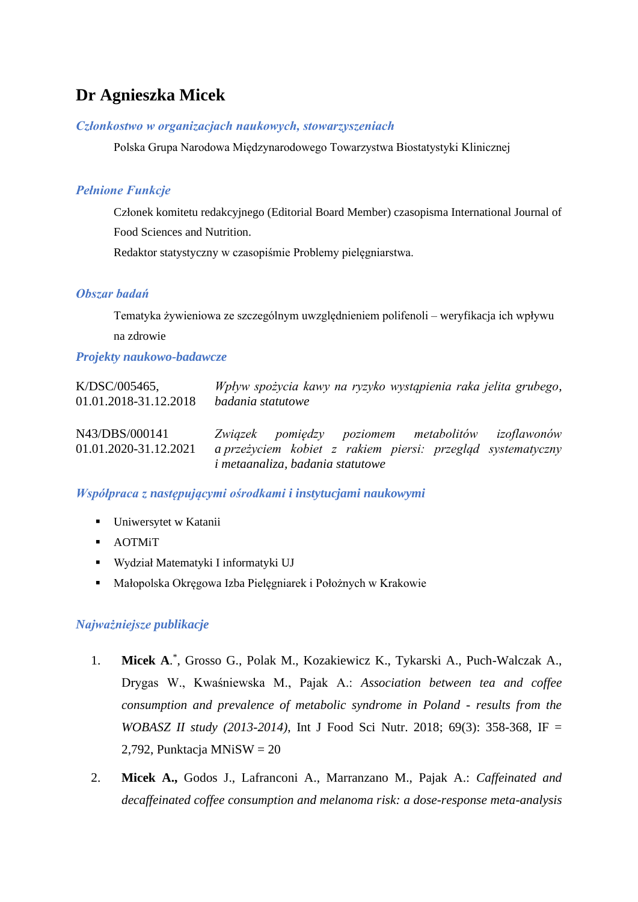# **Dr Agnieszka Micek**

#### *Członkostwo w organizacjach naukowych, stowarzyszeniach*

Polska Grupa Narodowa Międzynarodowego Towarzystwa Biostatystyki Klinicznej

# *Pełnione Funkcje*

Członek komitetu redakcyjnego (Editorial Board Member) czasopisma International Journal of Food Sciences and Nutrition.

Redaktor statystyczny w czasopiśmie Problemy pielęgniarstwa.

#### *Obszar badań*

Tematyka żywieniowa ze szczególnym uwzględnieniem polifenoli – weryfikacja ich wpływu na zdrowie

#### *Projekty naukowo-badawcze*

| $K/DSC/005465$ ,                        | Wpływ spożycia kawy na ryzyko wystąpienia raka jelita grubego,                                                                                              |
|-----------------------------------------|-------------------------------------------------------------------------------------------------------------------------------------------------------------|
| 01.01.2018-31.12.2018                   | badania statutowe                                                                                                                                           |
| N43/DBS/000141<br>01.01.2020-31.12.2021 | Związek pomiędzy poziomem metabolitów izoflawonów<br>a przeżyciem kobiet z rakiem piersi: przegląd systematyczny<br><i>i</i> metaanaliza, badania statutowe |

# *Współpraca z następującymi ośrodkami i instytucjami naukowymi*

- **•** Uniwersytet w Katanii
- AOTMiT
- Wydział Matematyki I informatyki UJ
- Małopolska Okręgowa Izba Pielęgniarek i Położnych w Krakowie

## *Najważniejsze publikacje*

- 1. **Micek A**. \* , Grosso G., Polak M., Kozakiewicz K., Tykarski A., Puch-Walczak A., Drygas W., Kwaśniewska M., Pajak A.: *Association between tea and coffee consumption and prevalence of metabolic syndrome in Poland - results from the WOBASZ II study (2013-2014)*, Int J Food Sci Nutr. 2018; 69(3): 358-368, IF = 2,792, Punktacja MNiS $W = 20$
- 2. **Micek A.,** Godos J., Lafranconi A., Marranzano M., Pajak A.: *Caffeinated and decaffeinated coffee consumption and melanoma risk: a dose-response meta-analysis*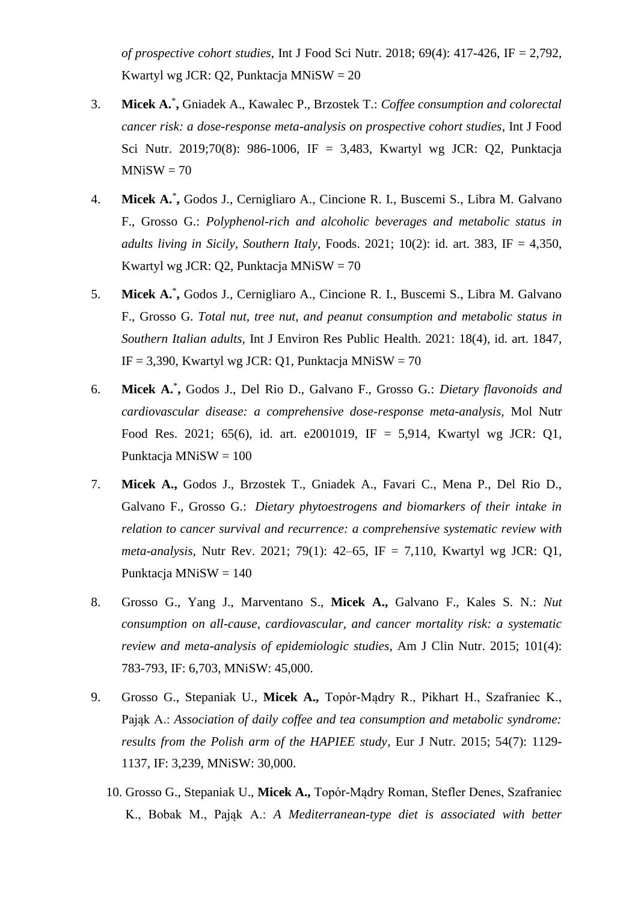*of prospective cohort studies*, Int J Food Sci Nutr. 2018; 69(4): 417-426, IF = 2,792, Kwartyl wg JCR: Q2, Punktacja MNiSW = 20

- 3. **Micek A.**\* **,** Gniadek A., Kawalec P., Brzostek T.: *Coffee consumption and colorectal cancer risk: a dose-response meta-analysis on prospective cohort studies*, Int J Food Sci Nutr. 2019;70(8): 986-1006, IF = 3,483, Kwartyl wg JCR: Q2, Punktacja  $MNiSW = 70$
- 4. **Micek A.**\* **,** Godos J., Cernigliaro A., Cincione R. I., Buscemi S., Libra M. Galvano F., Grosso G.: *Polyphenol-rich and alcoholic beverages and metabolic status in adults living in Sicily, Southern Italy*, Foods. 2021; 10(2): id. art. 383, IF = 4,350, Kwartyl wg JCR: Q2, Punktacja MNiSW = 70
- 5. **Micek A.**\* **,** Godos J., Cernigliaro A., Cincione R. I., Buscemi S., Libra M. Galvano F., Grosso G. *Total nut, tree nut, and peanut consumption and metabolic status in Southern Italian adults,* Int J Environ Res Public Health. 2021: 18(4), id. art. 1847, IF = 3,390, Kwartyl wg JCR: Q1, Punktacja MNiSW =  $70$
- 6. **Micek A.**\* **,** Godos J., Del Rio D., Galvano F., Grosso G.: *Dietary flavonoids and cardiovascular disease: a comprehensive dose-response meta-analysis,* Mol Nutr Food Res. 2021; 65(6), id. art. e2001019, IF = 5,914, Kwartyl wg JCR: Q1, Punktacja MNiSW = 100
- 7. **Micek A.,** Godos J., Brzostek T., Gniadek A., Favari C., Mena P., Del Rio D., Galvano F., Grosso G.: *Dietary phytoestrogens and biomarkers of their intake in relation to cancer survival and recurrence: a comprehensive systematic review with meta-analysis*, Nutr Rev. 2021; 79(1): 42–65, IF = 7,110, Kwartyl wg JCR: Q1, Punktacja MNiSW = 140
- 8. Grosso G., Yang J., Marventano S., **Micek A.,** Galvano F., Kales S. N.: *Nut consumption on all-cause, cardiovascular, and cancer mortality risk: a systematic review and meta-analysis of epidemiologic studies*, Am J Clin Nutr. 2015; 101(4): 783-793, IF: 6,703, MNiSW: 45,000.
- 9. Grosso G., Stepaniak U., **Micek A.,** Topór-Mądry R., Pikhart H., Szafraniec K., Pająk A.: *Association of daily coffee and tea consumption and metabolic syndrome: results from the Polish arm of the HAPIEE study*, Eur J Nutr. 2015; 54(7): 1129- 1137, IF: 3,239, MNiSW: 30,000.
	- 10. Grosso G., Stepaniak U., **Micek A.,** Topór-Mądry Roman, Stefler Denes, Szafraniec K., Bobak M., Pająk A.: *A Mediterranean-type diet is associated with better*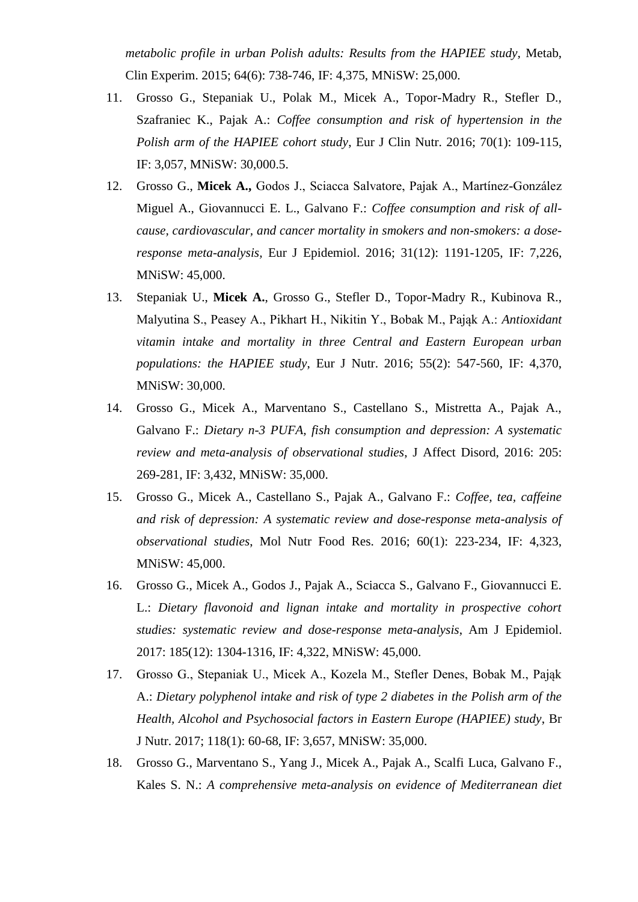*metabolic profile in urban Polish adults: Results from the HAPIEE study,* Metab, Clin Experim. 2015; 64(6): 738-746, IF: 4,375, MNiSW: 25,000.

- 11. Grosso G., Stepaniak U., Polak M., Micek A., Topor-Madry R., Stefler D., Szafraniec K., Pajak A.: *Coffee consumption and risk of hypertension in the Polish arm of the HAPIEE cohort study*, Eur J Clin Nutr. 2016; 70(1): 109-115, IF: 3,057, MNiSW: 30,000.5.
- 12. Grosso G., **Micek A.,** Godos J., Sciacca Salvatore, Pajak A., Martínez-González Miguel A., Giovannucci E. L., Galvano F.: *Coffee consumption and risk of allcause, cardiovascular, and cancer mortality in smokers and non-smokers: a doseresponse meta-analysis,* Eur J Epidemiol. 2016; 31(12): 1191-1205, IF: 7,226, MNiSW: 45,000.
- 13. Stepaniak U., **Micek A.**, Grosso G., Stefler D., Topor-Madry R., Kubinova R., Malyutina S., Peasey A., Pikhart H., Nikitin Y., Bobak M., Pająk A.: *Antioxidant vitamin intake and mortality in three Central and Eastern European urban populations: the HAPIEE study*, Eur J Nutr. 2016; 55(2): 547-560, IF: 4,370, MNiSW: 30,000.
- 14. Grosso G., Micek A., Marventano S., Castellano S., Mistretta A., Pajak A., Galvano F.: *Dietary n-3 PUFA, fish consumption and depression: A systematic review and meta-analysis of observational studies*, J Affect Disord, 2016: 205: 269-281, IF: 3,432, MNiSW: 35,000.
- 15. Grosso G., Micek A., Castellano S., Pajak A., Galvano F.: *Coffee, tea, caffeine and risk of depression: A systematic review and dose-response meta-analysis of observational studies*, Mol Nutr Food Res. 2016; 60(1): 223-234, IF: 4,323, MNiSW: 45,000.
- 16. Grosso G., Micek A., Godos J., Pajak A., Sciacca S., Galvano F., Giovannucci E. L.: *Dietary flavonoid and lignan intake and mortality in prospective cohort studies: systematic review and dose-response meta-analysis*, Am J Epidemiol. 2017: 185(12): 1304-1316, IF: 4,322, MNiSW: 45,000.
- 17. Grosso G., Stepaniak U., Micek A., Kozela M., Stefler Denes, Bobak M., Pająk A.: *Dietary polyphenol intake and risk of type 2 diabetes in the Polish arm of the Health, Alcohol and Psychosocial factors in Eastern Europe (HAPIEE) study*, Br J Nutr. 2017; 118(1): 60-68, IF: 3,657, MNiSW: 35,000.
- 18. Grosso G., Marventano S., Yang J., Micek A., Pajak A., Scalfi Luca, Galvano F., Kales S. N.: *A comprehensive meta-analysis on evidence of Mediterranean diet*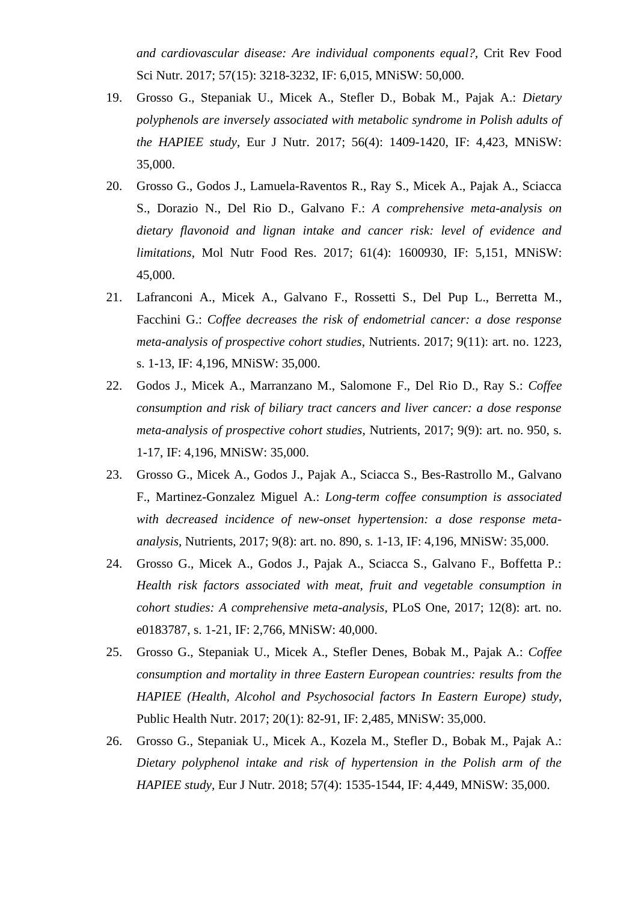*and cardiovascular disease: Are individual components equal?,* Crit Rev Food Sci Nutr. 2017; 57(15): 3218-3232, IF: 6,015, MNiSW: 50,000.

- 19. Grosso G., Stepaniak U., Micek A., Stefler D., Bobak M., Pajak A.: *Dietary polyphenols are inversely associated with metabolic syndrome in Polish adults of the HAPIEE study*, Eur J Nutr. 2017; 56(4): 1409-1420, IF: 4,423, MNiSW: 35,000.
- 20. Grosso G., Godos J., Lamuela-Raventos R., Ray S., Micek A., Pajak A., Sciacca S., Dorazio N., Del Rio D., Galvano F.: *A comprehensive meta-analysis on dietary flavonoid and lignan intake and cancer risk: level of evidence and limitations*, Mol Nutr Food Res. 2017; 61(4): 1600930, IF: 5,151, MNiSW: 45,000.
- 21. Lafranconi A., Micek A., Galvano F., Rossetti S., Del Pup L., Berretta M., Facchini G.: *Coffee decreases the risk of endometrial cancer: a dose response meta-analysis of prospective cohort studies*, Nutrients. 2017; 9(11): art. no. 1223, s. 1-13, IF: 4,196, MNiSW: 35,000.
- 22. Godos J., Micek A., Marranzano M., Salomone F., Del Rio D., Ray S.: *Coffee consumption and risk of biliary tract cancers and liver cancer: a dose response meta-analysis of prospective cohort studies*, Nutrients, 2017; 9(9): art. no. 950, s. 1-17, IF: 4,196, MNiSW: 35,000.
- 23. Grosso G., Micek A., Godos J., Pajak A., Sciacca S., Bes-Rastrollo M., Galvano F., Martinez-Gonzalez Miguel A.: *Long-term coffee consumption is associated with decreased incidence of new-onset hypertension: a dose response metaanalysis*, Nutrients, 2017; 9(8): art. no. 890, s. 1-13, IF: 4,196, MNiSW: 35,000.
- 24. Grosso G., Micek A., Godos J., Pajak A., Sciacca S., Galvano F., Boffetta P.: *Health risk factors associated with meat, fruit and vegetable consumption in cohort studies: A comprehensive meta-analysis*, PLoS One, 2017; 12(8): art. no. e0183787, s. 1-21, IF: 2,766, MNiSW: 40,000.
- 25. Grosso G., Stepaniak U., Micek A., Stefler Denes, Bobak M., Pajak A.: *Coffee consumption and mortality in three Eastern European countries: results from the HAPIEE (Health, Alcohol and Psychosocial factors In Eastern Europe) study*, Public Health Nutr. 2017; 20(1): 82-91, IF: 2,485, MNiSW: 35,000.
- 26. Grosso G., Stepaniak U., Micek A., Kozela M., Stefler D., Bobak M., Pajak A.: *Dietary polyphenol intake and risk of hypertension in the Polish arm of the HAPIEE study*, Eur J Nutr. 2018; 57(4): 1535-1544, IF: 4,449, MNiSW: 35,000.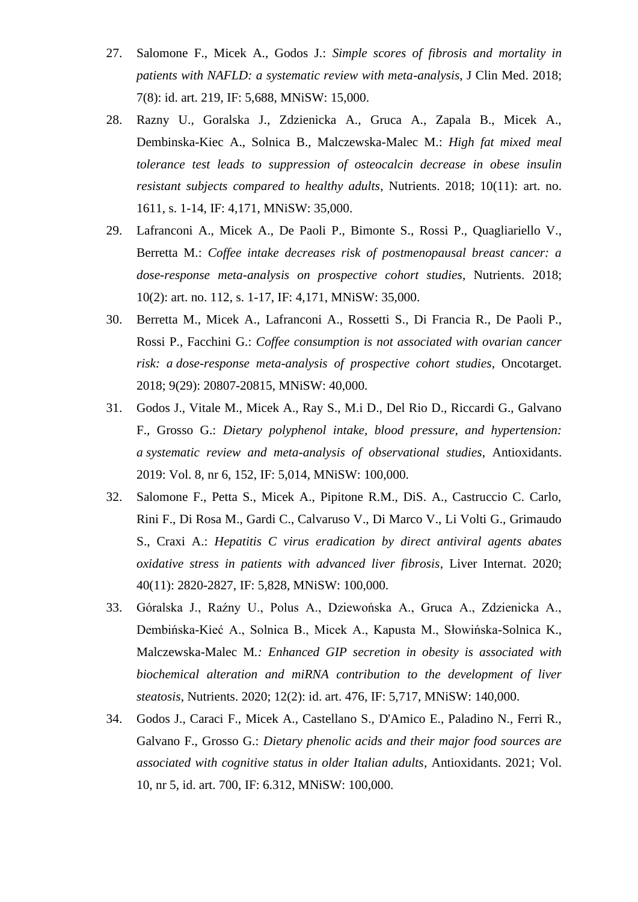- 27. Salomone F., Micek A., Godos J.: *Simple scores of fibrosis and mortality in patients with NAFLD: a systematic review with meta-analysis*, J Clin Med. 2018; 7(8): id. art. 219, IF: 5,688, MNiSW: 15,000.
- 28. Razny U., Goralska J., Zdzienicka A., Gruca A., Zapala B., Micek A., Dembinska-Kiec A., Solnica B., Malczewska-Malec M.: *High fat mixed meal tolerance test leads to suppression of osteocalcin decrease in obese insulin resistant subjects compared to healthy adults*, Nutrients. 2018; 10(11): art. no. 1611, s. 1-14, IF: 4,171, MNiSW: 35,000.
- 29. Lafranconi A., Micek A., De Paoli P., Bimonte S., Rossi P., Quagliariello V., Berretta M.: *Coffee intake decreases risk of postmenopausal breast cancer: a dose-response meta-analysis on prospective cohort studies*, Nutrients. 2018; 10(2): art. no. 112, s. 1-17, IF: 4,171, MNiSW: 35,000.
- 30. Berretta M., Micek A., Lafranconi A., Rossetti S., Di Francia R., De Paoli P., Rossi P., Facchini G.: *Coffee consumption is not associated with ovarian cancer risk: a dose-response meta-analysis of prospective cohort studies*, Oncotarget. 2018; 9(29): 20807-20815, MNiSW: 40,000.
- 31. Godos J., Vitale M., Micek A., Ray S., M.i D., Del Rio D., Riccardi G., Galvano F., Grosso G.: *Dietary polyphenol intake, blood pressure, and hypertension: a systematic review and meta-analysis of observational studies*, Antioxidants. 2019: Vol. 8, nr 6, 152, IF: 5,014, MNiSW: 100,000.
- 32. Salomone F., Petta S., Micek A., Pipitone R.M., DiS. A., Castruccio C. Carlo, Rini F., Di Rosa M., Gardi C., Calvaruso V., Di Marco V., Li Volti G., Grimaudo S., Craxi A.: *Hepatitis C virus eradication by direct antiviral agents abates oxidative stress in patients with advanced liver fibrosis*, Liver Internat. 2020; 40(11): 2820-2827, IF: 5,828, MNiSW: 100,000.
- 33. Góralska J., Raźny U., Polus A., Dziewońska A., Gruca A., Zdzienicka A., Dembińska-Kieć A., Solnica B., Micek A., Kapusta M., Słowińska-Solnica K., Malczewska-Malec M*.: Enhanced GIP secretion in obesity is associated with biochemical alteration and miRNA contribution to the development of liver steatosis*, Nutrients. 2020; 12(2): id. art. 476, IF: 5,717, MNiSW: 140,000.
- 34. Godos J., Caraci F., Micek A., Castellano S., D'Amico E., Paladino N., Ferri R., Galvano F., Grosso G.: *Dietary phenolic acids and their major food sources are associated with cognitive status in older Italian adults*, Antioxidants. 2021; Vol. 10, nr 5, id. art. 700, IF: 6.312, MNiSW: 100,000.